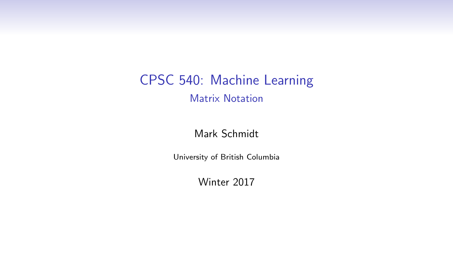CPSC 540: Machine Learning Matrix Notation

Mark Schmidt

University of British Columbia

Winter 2017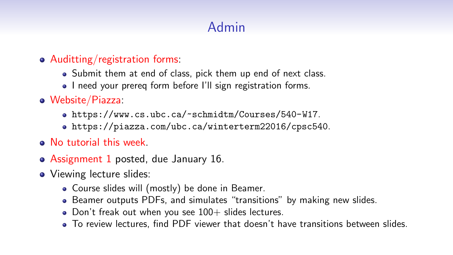# Admin

- Auditting/registration forms:
	- Submit them at end of class, pick them up end of next class.
	- I need your prereg form before I'll sign registration forms.
- Website/Piazza:
	- <https://www.cs.ubc.ca/~schmidtm/Courses/540-W17>.
	- <https://piazza.com/ubc.ca/winterterm22016/cpsc540>.
- No tutorial this week.
- Assignment 1 posted, due January 16.
- Viewing lecture slides:
	- Course slides will (mostly) be done in Beamer.
	- Beamer outputs PDFs, and simulates "transitions" by making new slides.
	- Don't freak out when you see  $100+$  slides lectures.
	- To review lectures, find PDF viewer that doesn't have transitions between slides.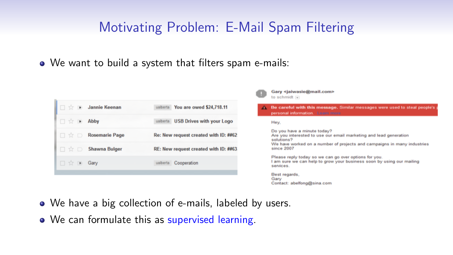## Motivating Problem: E-Mail Spam Filtering

We want to build a system that filters spam e-mails:





Be careful with this message. Similar messages were used to steal people's personal information. Learn more

Hev.

services.

Do you have a minute today? Are you interested to use our email marketing and lead generation solutions? We have worked on a number of projects and campaigns in many industries since 2007 Please reply today so we can go over options for you. I am sure we can help to grow your business soon by using our mailing

Best regards, Gary Contact: abelfong@sina.com

- We have a big collection of e-mails, labeled by users.
- We can formulate this as supervised learning.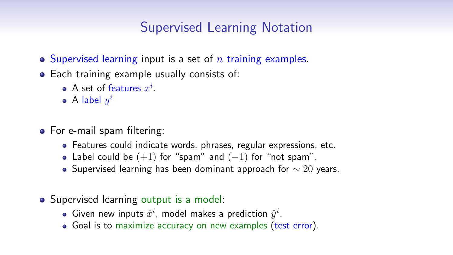## Supervised Learning Notation

- $\bullet$  Supervised learning input is a set of n training examples.
- Each training example usually consists of:
	- A set of features  $x^i$ .
	- A label  $y^i$
- For e-mail spam filtering:
	- Features could indicate words, phrases, regular expressions, etc.
	- Label could be  $(+1)$  for "spam" and  $(-1)$  for "not spam".
	- Supervised learning has been dominant approach for  $\sim$  20 years.
- Supervised learning output is a model:
	- Given new inputs  $\hat{x}^i$ , model makes a prediction  $\hat{y}^i$ .
	- Goal is to maximize accuracy on new examples (test error).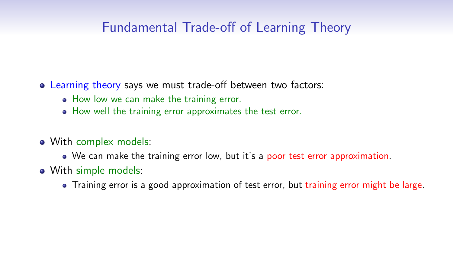## Fundamental Trade-off of Learning Theory

- Learning theory says we must trade-off between two factors:
	- How low we can make the training error.
	- How well the training error approximates the test error.
- With complex models:
	- We can make the training error low, but it's a poor test error approximation.
- With simple models:
	- Training error is a good approximation of test error, but training error might be large.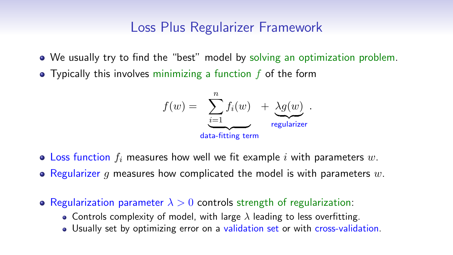### Loss Plus Regularizer Framework

- We usually try to find the "best" model by solving an optimization problem.
- $\bullet$  Typically this involves minimizing a function  $f$  of the form



- Loss function  $f_i$  measures how well we fit example i with parameters  $w$ .
- Regularizer q measures how complicated the model is with parameters  $w$ .
- Regularization parameter  $\lambda > 0$  controls strength of regularization:
	- Controls complexity of model, with large  $\lambda$  leading to less overfitting.
	- Usually set by optimizing error on a validation set or with cross-validation.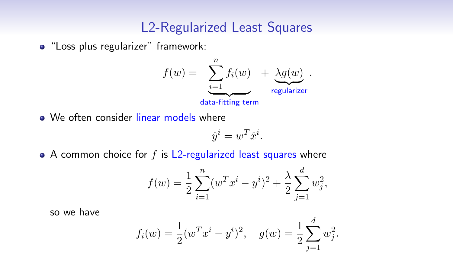#### L2-Regularized Least Squares

• "Loss plus regularizer" framework:



• We often consider linear models where

$$
\hat{y}^i = w^T \hat{x}^i.
$$

 $\bullet$  A common choice for f is L2-regularized least squares where

$$
f(w) = \frac{1}{2} \sum_{i=1}^{n} (w^T x^i - y^i)^2 + \frac{\lambda}{2} \sum_{j=1}^{d} w_j^2,
$$

so we have

$$
f_i(w) = \frac{1}{2}(w^T x^i - y^i)^2
$$
,  $g(w) = \frac{1}{2} \sum_{j=1}^d w_j^2$ .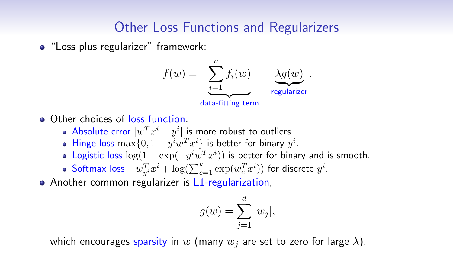## Other Loss Functions and Regularizers

• "Loss plus regularizer" framework:



- Other choices of loss function:
	- Absolute error  $|w^T x^i y^i|$  is more robust to outliers.
	- Hinge loss  $\max\{0, 1 y^i w^T x^i\}$  is better for binary  $y^i$ .
	- Logistic loss  $\log(1 + \exp(-y^i w^T x^i))$  is better for binary and is smooth.
	- Softmax loss  $-w_{y^i}^T x^i + \log(\sum_{c=1}^k \exp(w_c^T x^i))$  for discrete  $y^i$ .
- Another common regularizer is L1-regularization,

$$
g(w) = \sum_{j=1}^{d} |w_j|,
$$

which encourages sparsity in w (many  $w_i$  are set to zero for large  $\lambda$ ).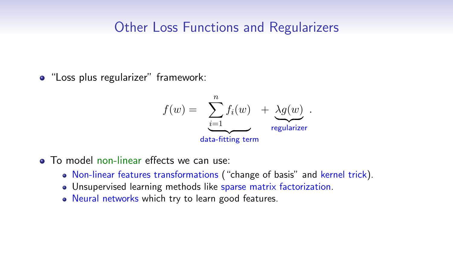### Other Loss Functions and Regularizers

"Loss plus regularizer" framework:



- **To model non-linear effects we can use:** 
	- Non-linear features transformations ("change of basis" and kernel trick).
	- Unsupervised learning methods like sparse matrix factorization.
	- Neural networks which try to learn good features.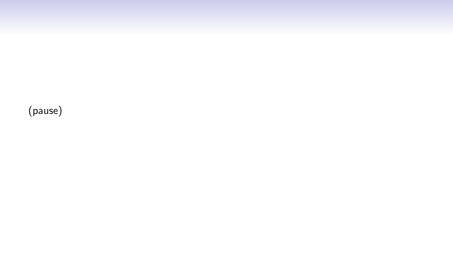(pause)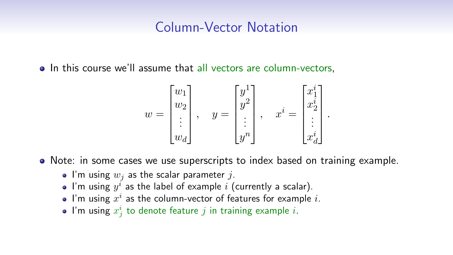#### Column-Vector Notation

• In this course we'll assume that all vectors are column-vectors,

$$
w = \begin{bmatrix} w_1 \\ w_2 \\ \vdots \\ w_d \end{bmatrix}, \quad y = \begin{bmatrix} y^1 \\ y^2 \\ \vdots \\ y^n \end{bmatrix}, \quad x^i = \begin{bmatrix} x_1^i \\ x_2^i \\ \vdots \\ x_d^i \end{bmatrix}.
$$

- Note: in some cases we use superscripts to index based on training example.
	- I'm using  $w_i$  as the scalar parameter j.
	- I'm using  $y^i$  as the label of example  $i$  (currently a scalar).
	- I'm using  $x^i$  as the column-vector of features for example  $i$ .
	- I'm using  $x^i_j$  to denote feature  $j$  in training example  $i.$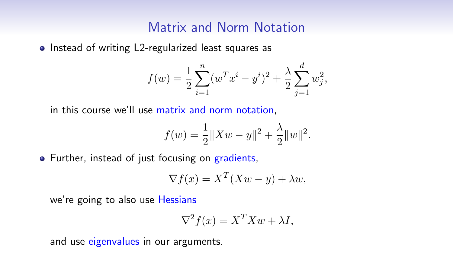#### Matrix and Norm Notation

• Instead of writing L2-regularized least squares as

$$
f(w) = \frac{1}{2} \sum_{i=1}^{n} (w^T x^i - y^i)^2 + \frac{\lambda}{2} \sum_{j=1}^{d} w_j^2,
$$

in this course we'll use matrix and norm notation,

$$
f(w) = \frac{1}{2} ||Xw - y||^{2} + \frac{\lambda}{2} ||w||^{2}.
$$

• Further, instead of just focusing on gradients,

$$
\nabla f(x) = X^T (Xw - y) + \lambda w,
$$

we're going to also use Hessians

$$
\nabla^2 f(x) = X^T X w + \lambda I,
$$

and use eigenvalues in our arguments.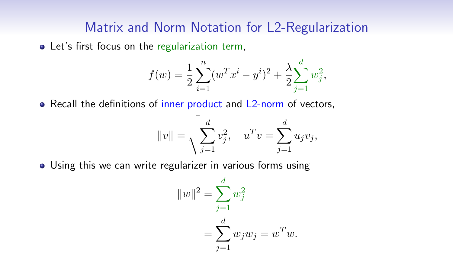#### Matrix and Norm Notation for L2-Regularization

• Let's first focus on the regularization term,

$$
f(w) = \frac{1}{2} \sum_{i=1}^{n} (w^T x^i - y^i)^2 + \frac{\lambda}{2} \sum_{j=1}^{d} w_j^2,
$$

• Recall the definitions of inner product and L2-norm of vectors,

$$
||v|| = \sqrt{\sum_{j=1}^d v_j^2}
$$
,  $u^T v = \sum_{j=1}^d u_j v_j$ ,

Using this we can write regularizer in various forms using

$$
||w||^{2} = \sum_{j=1}^{d} w_{j}^{2}
$$
  
= 
$$
\sum_{j=1}^{d} w_{j} w_{j} = w^{T} w.
$$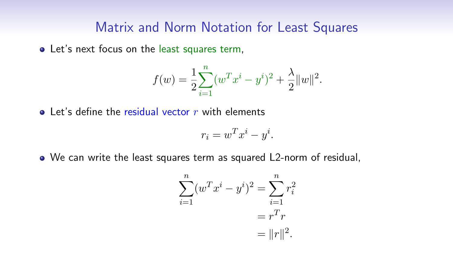#### Matrix and Norm Notation for Least Squares

Let's next focus on the least squares term,

$$
f(w) = \frac{1}{2} \sum_{i=1}^{n} (w^{T} x^{i} - y^{i})^{2} + \frac{\lambda}{2} ||w||^{2}.
$$

 $\bullet$  Let's define the residual vector r with elements

$$
r_i = w^T x^i - y^i.
$$

We can write the least squares term as squared L2-norm of residual,

$$
\sum_{i=1}^{n} (w^T x^i - y^i)^2 = \sum_{i=1}^{n} r_i^2
$$

$$
= r^T r
$$

$$
= ||r||^2.
$$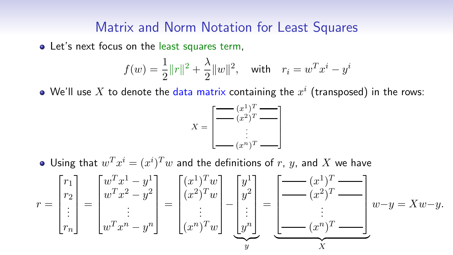#### Matrix and Norm Notation for Least Squares

• Let's next focus on the least squares term,

$$
f(w) = \frac{1}{2} ||r||^2 + \frac{\lambda}{2} ||w||^2
$$
, with  $r_i = w^T x^i - y^i$ 

We'll use  $X$  to denote the data matrix containing the  $x^i$  (transposed) in the rows:

$$
X = \begin{bmatrix} \underbrace{(x^1)^T}_{\text{max}} & \underbrace{(x^2)^T}_{\text{max}} \\ \vdots & \vdots \\ \underbrace{(x^n)^T}_{\text{max}} \end{bmatrix}
$$

Using that  $w^T x^i = (x^i)^T w$  and the definitions of  $r$ ,  $y$ , and  $X$  we have

$$
r = \begin{bmatrix} r_1 \\ r_2 \\ \vdots \\ r_n \end{bmatrix} = \begin{bmatrix} w^T x^1 - y^1 \\ w^T x^2 - y^2 \\ \vdots \\ w^T x^n - y^n \end{bmatrix} = \begin{bmatrix} (x^1)^T w \\ (x^2)^T w \\ \vdots \\ (x^n)^T w \end{bmatrix} - \begin{bmatrix} y^1 \\ y^2 \\ \vdots \\ y^n \end{bmatrix} = \underbrace{\begin{bmatrix} -(x^1)^T & \cdots \\ -(x^2)^T & \cdots \\ \vdots \\ (x^n)^T & \cdots \end{bmatrix}}_{\mathbf{y}} w - \mathbf{y} = Xw - \mathbf{y}.
$$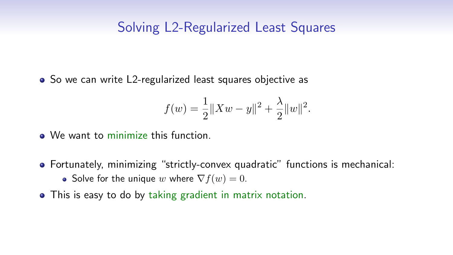#### Solving L2-Regularized Least Squares

• So we can write L2-regularized least squares objective as

$$
f(w) = \frac{1}{2} ||Xw - y||^{2} + \frac{\lambda}{2} ||w||^{2}.
$$

- We want to minimize this function.
- Fortunately, minimizing "strictly-convex quadratic" functions is mechanical: • Solve for the unique w where  $\nabla f(w) = 0$ .
- This is easy to do by taking gradient in matrix notation.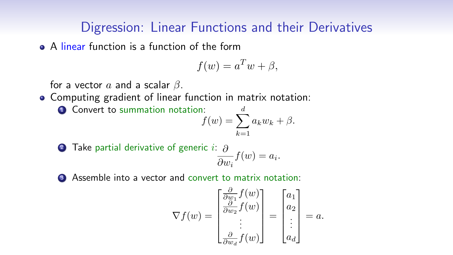### Digression: Linear Functions and their Derivatives

• A linear function is a function of the form

$$
f(w) = a^T w + \beta,
$$

for a vector  $a$  and a scalar  $\beta$ .

- Computing gradient of linear function in matrix notation:
	- **4** Convert to summation notation:  $f(w) = \sum a_k w_k + \beta.$  $\overline{d}$  $k=1$

**2** Take partial derivative of generic *i*: 
$$
\frac{\partial}{\partial w_i} f(w) = a_i
$$
.

**3** Assemble into a vector and convert to matrix notation:

$$
\nabla f(w) = \begin{bmatrix} \frac{\partial}{\partial w_1} f(w) \\ \frac{\partial}{\partial w_2} f(w) \\ \vdots \\ \frac{\partial}{\partial w_d} f(w) \end{bmatrix} = \begin{bmatrix} a_1 \\ a_2 \\ \vdots \\ a_d \end{bmatrix} = a.
$$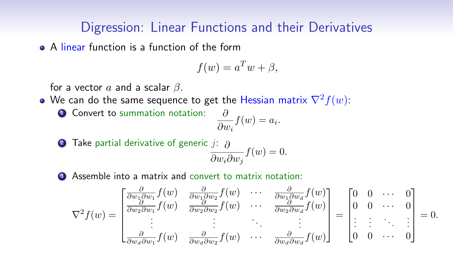#### Digression: Linear Functions and their Derivatives

• A linear function is a function of the form

$$
f(w) = a^T w + \beta,
$$

for a vector  $a$  and a scalar  $\beta$ .

ľ

• We can do the same sequence to get the Hessian matrix  $\nabla^2 f(w)$ :

• Convert to summation notation: 
$$
\partial
$$

$$
\frac{\partial}{\partial w_i} f(w) = a_i.
$$

**2** Take partial derivative of generic 
$$
j
$$
:  $\frac{\partial}{\partial w_i \partial w_j} f(w) = 0$ .

<sup>3</sup> Assemble into a matrix and convert to matrix notation:

$$
\nabla^2 f(w) = \begin{bmatrix}\n\frac{\partial}{\partial w_1 \partial w_1} f(w) & \frac{\partial}{\partial w_1 \partial w_2} f(w) & \cdots & \frac{\partial}{\partial w_1 \partial w_d} f(w) \\
\frac{\partial}{\partial w_2 \partial w_1} f(w) & \frac{\partial}{\partial w_2 \partial w_2} f(w) & \cdots & \frac{\partial}{\partial w_2 \partial w_d} f(w) \\
\vdots & \vdots & \ddots & \vdots \\
\frac{\partial}{\partial w_d \partial w_1} f(w) & \frac{\partial}{\partial w_d \partial w_2} f(w) & \cdots & \frac{\partial}{\partial w_d \partial w_d} f(w)\n\end{bmatrix} = \begin{bmatrix}\n0 & 0 & \cdots & 0 \\
0 & 0 & \cdots & 0 \\
\vdots & \vdots & \ddots & \vdots \\
0 & 0 & \cdots & 0\n\end{bmatrix} = 0.
$$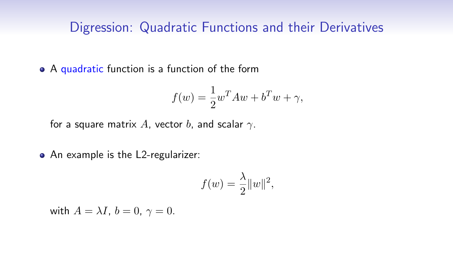• A quadratic function is a function of the form

$$
f(w) = \frac{1}{2}w^{T}Aw + b^{T}w + \gamma,
$$

for a square matrix A, vector b, and scalar  $\gamma$ .

• An example is the L2-regularizer:

$$
f(w) = \frac{\lambda}{2} ||w||^2,
$$

with  $A = \lambda I$ ,  $b = 0$ ,  $\gamma = 0$ .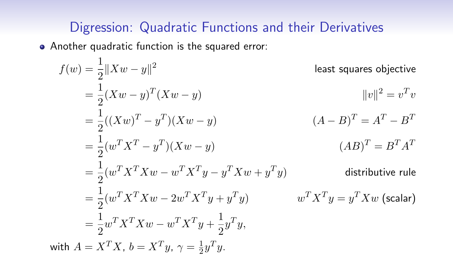Another quadratic function is the squared error:

$$
f(w) = \frac{1}{2} ||Xw - y||^2
$$
 least squares objective  
\n
$$
= \frac{1}{2} (Xw - y)^T (Xw - y)
$$
  $||v||^2 = v^T v$   
\n
$$
= \frac{1}{2} ((Xw)^T - y^T)(Xw - y)
$$
  $(A - B)^T = A^T - B^T$   
\n
$$
= \frac{1}{2} (w^T X^T X w - w^T X^T y - y^T X w + y^T y)
$$
  $(AB)^T = B^T A^T$   
\n
$$
= \frac{1}{2} (w^T X^T X w - 2w^T X^T y + y^T y)
$$
 distributive rule  
\n
$$
= \frac{1}{2} (w^T X^T X w - 2w^T X^T y + y^T y)
$$
  $w^T X^T y = y^T X w$  (scalar)  
\n
$$
= \frac{1}{2} w^T X^T X w - w^T X^T y + \frac{1}{2} y^T y,
$$
  
\nwith  $A = X^T X$ ,  $b = X^T y$ ,  $\gamma = \frac{1}{2} y^T y$ .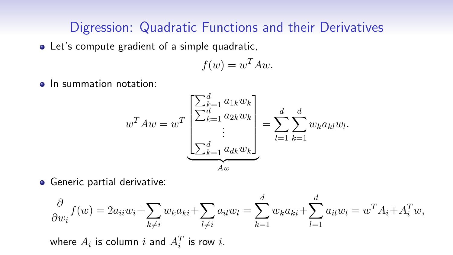Let's compute gradient of a simple quadratic,

$$
f(w) = w^T A w.
$$

• In summation notation:

$$
w^{T} A w = w^{T} \underbrace{\begin{bmatrix} \sum_{k=1}^{d} a_{1k} w_{k} \\ \sum_{k=1}^{d} a_{2k} w_{k} \\ \vdots \\ \sum_{k=1}^{d} a_{dk} w_{k} \end{bmatrix}}_{A w} = \sum_{l=1}^{d} \sum_{k=1}^{d} w_{k} a_{kl} w_{l}.
$$

**•** Generic partial derivative:

$$
\frac{\partial}{\partial w_i} f(w) = 2a_{ii}w_i + \sum_{k \neq i} w_k a_{ki} + \sum_{l \neq i} a_{il}w_l = \sum_{k=1}^d w_k a_{ki} + \sum_{l=1}^d a_{il}w_l = w^T A_i + A_i^T w,
$$
  
where  $A_i$  is column *i* and  $A_i^T$  is row *i*.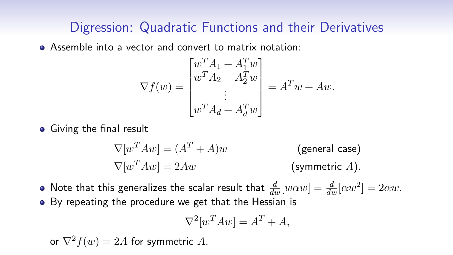Assemble into a vector and convert to matrix notation:

$$
\nabla f(w) = \begin{bmatrix} w^T A_1 + A_1^T w \\ w^T A_2 + A_2^T w \\ \vdots \\ w^T A_d + A_d^T w \end{bmatrix} = A^T w + A w.
$$

**•** Giving the final result

$$
\nabla[w^T A w] = (A^T + A)w
$$
 (general case)  
\n
$$
\nabla[w^T A w] = 2Aw
$$
 (symmetric A).

- Note that this generalizes the scalar result that  $\frac{d}{dw}[w\alpha w]=\frac{d}{dw}[\alpha w^2]=2\alpha w.$
- By repeating the procedure we get that the Hessian is

$$
\nabla^2 [w^T A w] = A^T + A,
$$

or  $\nabla^2 f(w) = 2A$  for symmetric A.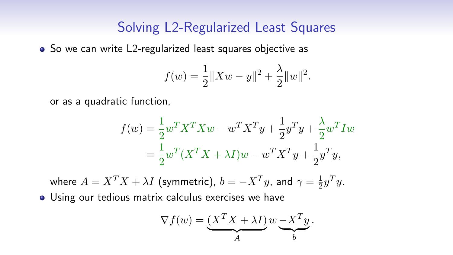#### Solving L2-Regularized Least Squares

• So we can write L2-regularized least squares objective as

$$
f(w) = \frac{1}{2} ||Xw - y||^{2} + \frac{\lambda}{2} ||w||^{2}.
$$

or as a quadratic function,

$$
f(w) = \frac{1}{2} w^T X^T X w - w^T X^T y + \frac{1}{2} y^T y + \frac{\lambda}{2} w^T I w
$$
  
=  $\frac{1}{2} w^T (X^T X + \lambda I) w - w^T X^T y + \frac{1}{2} y^T y,$ 

where  $A = X^T X + \lambda I$  (symmetric),  $b = -X^T y$ , and  $\gamma = \frac{1}{2}$  $rac{1}{2}y^Ty$ .

Using our tedious matrix calculus exercises we have

$$
\nabla f(w) = \underbrace{(X^T X + \lambda I)}_{A} w \underbrace{-X^T y}_{b}.
$$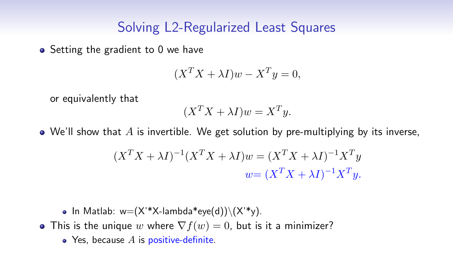#### Solving L2-Regularized Least Squares

 $\bullet$  Setting the gradient to 0 we have

$$
(X^T X + \lambda I)w - X^T y = 0,
$$

or equivalently that

$$
(X^T X + \lambda I)w = X^T y.
$$

 $\bullet$  We'll show that A is invertible. We get solution by pre-multiplying by its inverse,

$$
(XTX + \lambda I)-1(XTX + \lambda I)w = (XTX + \lambda I)-1XTy
$$
  

$$
w = (XTX + \lambda I)-1XTy.
$$

- In Matlab:  $w=(X^*X$ -lambda\*eye(d)) $\setminus (X^*y)$ .
- This is the unique w where  $\nabla f(w) = 0$ , but is it a minimizer?
	- $\bullet$  Yes, because  $A$  is positive-definite.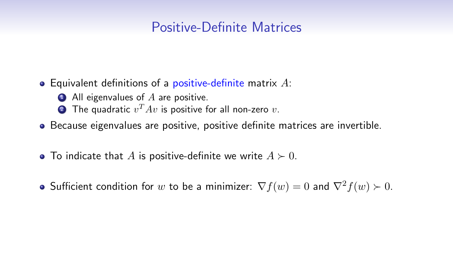### Positive-Definite Matrices

- Equivalent definitions of a positive-definite matrix  $A$ :
	- $\bullet$  All eigenvalues of A are positive.
	- $\textbf{\textcolor{red}{\bullet}}$  The quadratic  $v^T A v$  is positive for all non-zero  $v.$
- Because eigenvalues are positive, positive definite matrices are invertible.
- To indicate that A is positive-definite we write  $A \succ 0$ .
- Sufficient condition for w to be a minimizer:  $\nabla f(w) = 0$  and  $\nabla^2 f(w) > 0$ .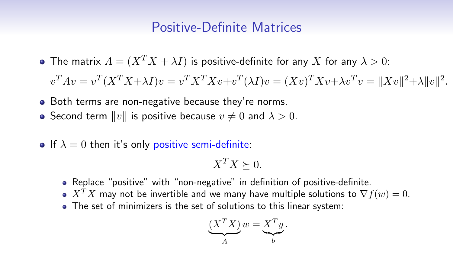#### Positive-Definite Matrices

• The matrix  $A = (X^T X + \lambda I)$  is positive-definite for any X for any  $\lambda > 0$ :

 $v^TAv = v^T(X^TX+\lambda I)v = v^TX^TXv + v^T(\lambda I)v = (Xv)^TXv + \lambda v^Tv = ||Xv||^2 + \lambda ||v||^2.$ 

- Both terms are non-negative because they're norms.
- Second term  $||v||$  is positive because  $v \neq 0$  and  $\lambda > 0$ .
- If  $\lambda = 0$  then it's only positive semi-definite:

$$
X^TX \succeq 0.
$$

- Replace "positive" with "non-negative" in definition of positive-definite.
- $\bullet$  X<sup>T</sup>X may not be invertible and we many have multiple solutions to  $\nabla f(w) = 0$ .
- The set of minimizers is the set of solutions to this linear system:

$$
\underbrace{(X^TX)}_A w = \underbrace{X^Ty}_{b}.
$$